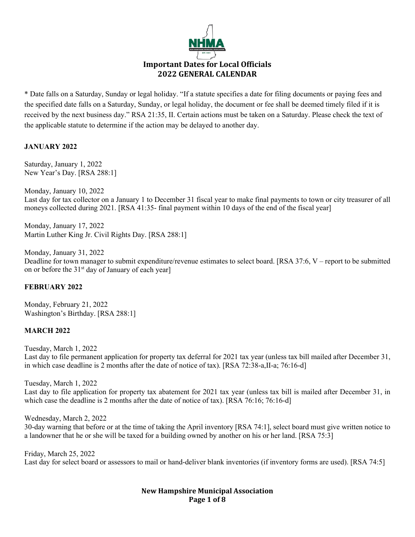

\* Date falls on a Saturday, Sunday or legal holiday. "If a statute specifies a date for filing documents or paying fees and the specified date falls on a Saturday, Sunday, or legal holiday, the document or fee shall be deemed timely filed if it is received by the next business day." RSA 21:35, II. Certain actions must be taken on a Saturday. Please check the text of the applicable statute to determine if the action may be delayed to another day.

### **JANUARY 2022**

Saturday, January 1, 2022 New Year's Day. [RSA 288:1]

Monday, January 10, 2022 Last day for tax collector on a January 1 to December 31 fiscal year to make final payments to town or city treasurer of all moneys collected during 2021. [RSA 41:35- final payment within 10 days of the end of the fiscal year]

Monday, January 17, 2022 Martin Luther King Jr. Civil Rights Day. [RSA 288:1]

Monday, January 31, 2022 Deadline for town manager to submit expenditure/revenue estimates to select board. [RSA 37:6, V – report to be submitted on or before the 31<sup>st</sup> day of January of each year]

## **FEBRUARY 2022**

Monday, February 21, 2022 Washington's Birthday. [RSA 288:1]

## **MARCH 2022**

Tuesday, March 1, 2022 Last day to file permanent application for property tax deferral for 2021 tax year (unless tax bill mailed after December 31, in which case deadline is 2 months after the date of notice of tax). [RSA 72:38-a,II-a; 76:16-d]

Tuesday, March 1, 2022

Last day to file application for property tax abatement for 2021 tax year (unless tax bill is mailed after December 31, in which case the deadline is 2 months after the date of notice of tax). [RSA 76:16; 76:16-d]

Wednesday, March 2, 2022

30-day warning that before or at the time of taking the April inventory [RSA 74:1], select board must give written notice to a landowner that he or she will be taxed for a building owned by another on his or her land. [RSA 75:3]

Friday, March 25, 2022 Last day for select board or assessors to mail or hand-deliver blank inventories (if inventory forms are used). [RSA 74:5]

## **New Hampshire Municipal Association Page 1 of 8**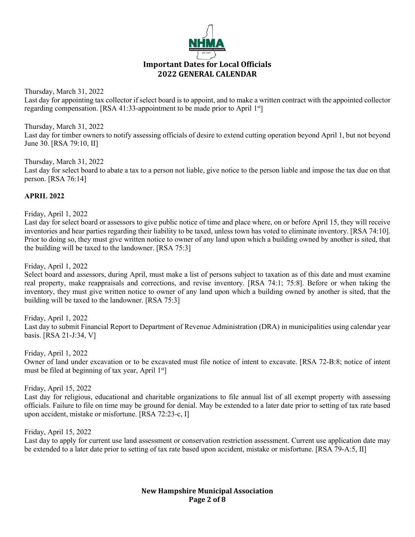

# Thursday, March 31, 2022

Last day for appointing tax collector if select board is to appoint, and to make a written contract with the appointed collector regarding compensation. [RSA 41:33-appointment to be made prior to April 1st]

Thursday, March 31, 2022 Last day for timber owners to notify assessing officials of desire to extend cutting operation beyond April 1, but not beyond June 30. [RSA 79:10, II]

#### Thursday, March 31, 2022

Last day for select board to abate a tax to a person not liable, give notice to the person liable and impose the tax due on that person. [RSA 76:14]

## **APRIL 2022**

Friday, April 1, 2022

Last day for select board or assessors to give public notice of time and place where, on or before April 15, they will receive inventories and hear parties regarding their liability to be taxed, unless town has voted to eliminate inventory. [RSA 74:10]. Prior to doing so, they must give written notice to owner of any land upon which a building owned by another is sited, that the building will be taxed to the landowner. [RSA 75:3]

Friday, April 1, 2022

Select board and assessors, during April, must make a list of persons subject to taxation as of this date and must examine real property, make reappraisals and corrections, and revise inventory. [RSA 74:1; 75:8]. Before or when taking the inventory, they must give written notice to owner of any land upon which a building owned by another is sited, that the building will be taxed to the landowner. [RSA 75:3]

Friday, April 1, 2022 Last day to submit Financial Report to Department of Revenue Administration (DRA) in municipalities using calendar year basis. [RSA 21-J:34, V]

Friday, April 1, 2022 Owner of land under excavation or to be excavated must file notice of intent to excavate. [RSA 72-B:8; notice of intent must be filed at beginning of tax year, April  $1<sup>st</sup>$ 

Friday, April 15, 2022

Last day for religious, educational and charitable organizations to file annual list of all exempt property with assessing officials. Failure to file on time may be ground for denial. May be extended to a later date prior to setting of tax rate based upon accident, mistake or misfortune. [RSA 72:23-c, I]

Friday, April 15, 2022

Last day to apply for current use land assessment or conservation restriction assessment. Current use application date may be extended to a later date prior to setting of tax rate based upon accident, mistake or misfortune. [RSA 79-A:5, II]

> **New Hampshire Municipal Association Page 2 of 8**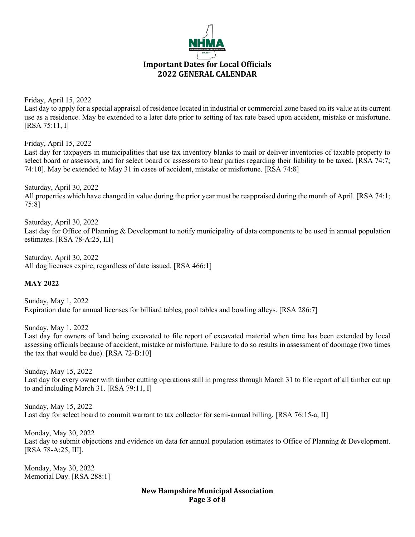

Friday, April 15, 2022

Last day to apply for a special appraisal of residence located in industrial or commercial zone based on its value at its current use as a residence. May be extended to a later date prior to setting of tax rate based upon accident, mistake or misfortune. [RSA 75:11, I]

Friday, April 15, 2022

Last day for taxpayers in municipalities that use tax inventory blanks to mail or deliver inventories of taxable property to select board or assessors, and for select board or assessors to hear parties regarding their liability to be taxed. [RSA 74:7; 74:10]. May be extended to May 31 in cases of accident, mistake or misfortune. [RSA 74:8]

Saturday, April 30, 2022 All properties which have changed in value during the prior year must be reappraised during the month of April. [RSA 74:1; 75:8]

Saturday, April 30, 2022 Last day for Office of Planning & Development to notify municipality of data components to be used in annual population estimates. [RSA 78-A:25, III]

Saturday, April 30, 2022 All dog licenses expire, regardless of date issued. [RSA 466:1]

## **MAY 2022**

Sunday, May 1, 2022 Expiration date for annual licenses for billiard tables, pool tables and bowling alleys. [RSA 286:7]

Sunday, May 1, 2022

Last day for owners of land being excavated to file report of excavated material when time has been extended by local assessing officials because of accident, mistake or misfortune. Failure to do so results in assessment of doomage (two times the tax that would be due). [RSA 72-B:10]

Sunday, May 15, 2022 Last day for every owner with timber cutting operations still in progress through March 31 to file report of all timber cut up to and including March 31. [RSA 79:11, I]

Sunday, May 15, 2022 Last day for select board to commit warrant to tax collector for semi-annual billing. [RSA 76:15-a, II]

Monday, May 30, 2022 Last day to submit objections and evidence on data for annual population estimates to Office of Planning & Development. [RSA 78-A:25, III].

Monday, May 30, 2022 Memorial Day. [RSA 288:1]

> **New Hampshire Municipal Association Page 3 of 8**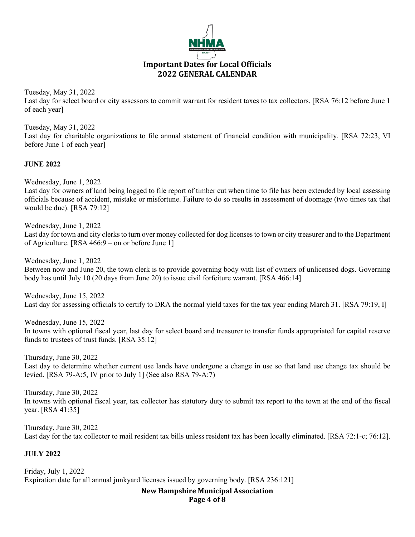

Tuesday, May 31, 2022 Last day for select board or city assessors to commit warrant for resident taxes to tax collectors. [RSA 76:12 before June 1 of each year]

Tuesday, May 31, 2022 Last day for charitable organizations to file annual statement of financial condition with municipality. [RSA 72:23, VI before June 1 of each year]

#### **JUNE 2022**

Wednesday, June 1, 2022

Last day for owners of land being logged to file report of timber cut when time to file has been extended by local assessing officials because of accident, mistake or misfortune. Failure to do so results in assessment of doomage (two times tax that would be due). [RSA 79:12]

Wednesday, June 1, 2022

Last day for town and city clerks to turn over money collected for dog licenses to town or city treasurer and to the Department of Agriculture. [RSA 466:9 – on or before June 1]

Wednesday, June 1, 2022

Between now and June 20, the town clerk is to provide governing body with list of owners of unlicensed dogs. Governing body has until July 10 (20 days from June 20) to issue civil forfeiture warrant. [RSA 466:14]

Wednesday, June 15, 2022 Last day for assessing officials to certify to DRA the normal yield taxes for the tax year ending March 31. [RSA 79:19, I]

Wednesday, June 15, 2022 In towns with optional fiscal year, last day for select board and treasurer to transfer funds appropriated for capital reserve funds to trustees of trust funds. [RSA 35:12]

Thursday, June 30, 2022 Last day to determine whether current use lands have undergone a change in use so that land use change tax should be levied. [RSA 79-A:5, IV prior to July 1] (See also RSA 79-A:7)

Thursday, June 30, 2022 In towns with optional fiscal year, tax collector has statutory duty to submit tax report to the town at the end of the fiscal year. [RSA 41:35]

Thursday, June 30, 2022 Last day for the tax collector to mail resident tax bills unless resident tax has been locally eliminated. [RSA 72:1-c; 76:12].

#### **JULY 2022**

Friday, July 1, 2022 Expiration date for all annual junkyard licenses issued by governing body. [RSA 236:121]

# **New Hampshire Municipal Association**

**Page 4 of 8**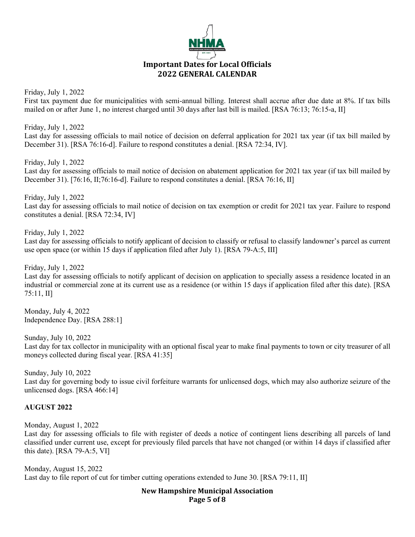

Friday, July 1, 2022

First tax payment due for municipalities with semi-annual billing. Interest shall accrue after due date at 8%. If tax bills mailed on or after June 1, no interest charged until 30 days after last bill is mailed. [RSA 76:13; 76:15-a, II]

Friday, July 1, 2022 Last day for assessing officials to mail notice of decision on deferral application for 2021 tax year (if tax bill mailed by December 31). [RSA 76:16-d]. Failure to respond constitutes a denial. [RSA 72:34, IV].

Friday, July 1, 2022 Last day for assessing officials to mail notice of decision on abatement application for 2021 tax year (if tax bill mailed by December 31). [76:16, II;76:16-d]. Failure to respond constitutes a denial. [RSA 76:16, II]

Friday, July 1, 2022 Last day for assessing officials to mail notice of decision on tax exemption or credit for 2021 tax year. Failure to respond constitutes a denial. [RSA 72:34, IV]

Friday, July 1, 2022 Last day for assessing officials to notify applicant of decision to classify or refusal to classify landowner's parcel as current use open space (or within 15 days if application filed after July 1). [RSA 79-A:5, III]

Friday, July 1, 2022

Last day for assessing officials to notify applicant of decision on application to specially assess a residence located in an industrial or commercial zone at its current use as a residence (or within 15 days if application filed after this date). [RSA 75:11, II]

Monday, July 4, 2022 Independence Day. [RSA 288:1]

Sunday, July 10, 2022

Last day for tax collector in municipality with an optional fiscal year to make final payments to town or city treasurer of all moneys collected during fiscal year. [RSA 41:35]

Sunday, July 10, 2022 Last day for governing body to issue civil forfeiture warrants for unlicensed dogs, which may also authorize seizure of the unlicensed dogs. [RSA 466:14]

## **AUGUST 2022**

Monday, August 1, 2022

Last day for assessing officials to file with register of deeds a notice of contingent liens describing all parcels of land classified under current use, except for previously filed parcels that have not changed (or within 14 days if classified after this date). [RSA 79-A:5, VI]

Monday, August 15, 2022 Last day to file report of cut for timber cutting operations extended to June 30. [RSA 79:11, II]

> **New Hampshire Municipal Association Page 5 of 8**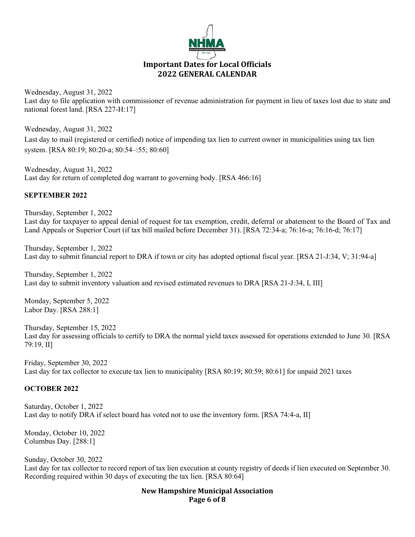

Wednesday, August 31, 2022 Last day to file application with commissioner of revenue administration for payment in lieu of taxes lost due to state and national forest land. [RSA 227-H:17]

Wednesday, August 31, 2022 Last day to mail (registered or certified) notice of impending tax lien to current owner in municipalities using tax lien system. [RSA 80:19; 80:20-a; 80:54–:55; 80:60]

Wednesday, August 31, 2022 Last day for return of completed dog warrant to governing body. [RSA 466:16]

## **SEPTEMBER 2022**

Thursday, September 1, 2022 Last day for taxpayer to appeal denial of request for tax exemption, credit, deferral or abatement to the Board of Tax and Land Appeals or Superior Court (if tax bill mailed before December 31). [RSA 72:34-a; 76:16-a; 76:16-d; 76:17]

Thursday, September 1, 2022 Last day to submit financial report to DRA if town or city has adopted optional fiscal year. [RSA 21-J:34, V; 31:94-a]

Thursday, September 1, 2022 Last day to submit inventory valuation and revised estimated revenues to DRA [RSA 21-J:34, I, III]

Monday, September 5, 2022 Labor Day. [RSA 288:1]

Thursday, September 15, 2022 Last day for assessing officials to certify to DRA the normal yield taxes assessed for operations extended to June 30. [RSA 79:19, II]

Friday, September 30, 2022 Last day for tax collector to execute tax lien to municipality [RSA 80:19; 80:59; 80:61] for unpaid 2021 taxes

#### **OCTOBER 2022**

Saturday, October 1, 2022 Last day to notify DRA if select board has voted not to use the inventory form. [RSA 74:4-a, II]

Monday, October 10, 2022 Columbus Day. [288:1]

Sunday, October 30, 2022 Last day for tax collector to record report of tax lien execution at county registry of deeds if lien executed on September 30. Recording required within 30 days of executing the tax lien. [RSA 80:64]

> **New Hampshire Municipal Association Page 6 of 8**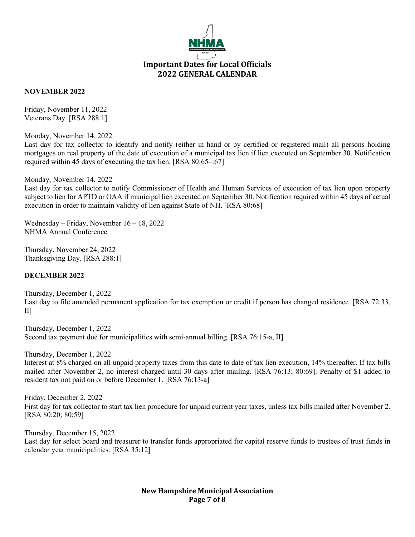

#### **NOVEMBER 2022**

Friday, November 11, 2022 Veterans Day. [RSA 288:1]

Monday, November 14, 2022

Last day for tax collector to identify and notify (either in hand or by certified or registered mail) all persons holding mortgages on real property of the date of execution of a municipal tax lien if lien executed on September 30. Notification required within 45 days of executing the tax lien. [RSA 80:65–:67]

Monday, November 14, 2022

Last day for tax collector to notify Commissioner of Health and Human Services of execution of tax lien upon property subject to lien for APTD or OAA if municipal lien executed on September 30. Notification required within 45 days of actual execution in order to maintain validity of lien against State of NH. [RSA 80:68]

Wednesday – Friday, November 16 – 18, 2022 NHMA Annual Conference

Thursday, November 24, 2022 Thanksgiving Day. [RSA 288:1]

#### **DECEMBER 2022**

Thursday, December 1, 2022 Last day to file amended permanent application for tax exemption or credit if person has changed residence. [RSA 72:33, II]

Thursday, December 1, 2022 Second tax payment due for municipalities with semi-annual billing. [RSA 76:15-a, II]

Thursday, December 1, 2022

Interest at 8% charged on all unpaid property taxes from this date to date of tax lien execution, 14% thereafter. If tax bills mailed after November 2, no interest charged until 30 days after mailing. [RSA 76:13; 80:69]. Penalty of \$1 added to resident tax not paid on or before December 1. [RSA 76:13-a]

Friday, December 2, 2022 First day for tax collector to start tax lien procedure for unpaid current year taxes, unless tax bills mailed after November 2. [RSA 80:20; 80:59]

Thursday, December 15, 2022 Last day for select board and treasurer to transfer funds appropriated for capital reserve funds to trustees of trust funds in calendar year municipalities. [RSA 35:12]

> **New Hampshire Municipal Association Page 7 of 8**